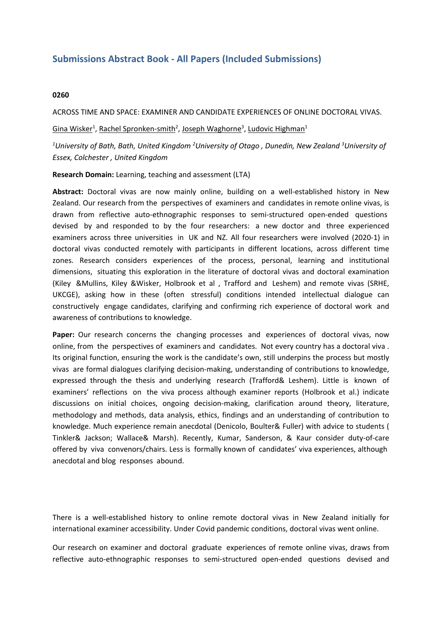## **Submissions Abstract Book - All Papers (Included Submissions)**

## **0260**

ACROSS TIME AND SPACE: EXAMINER AND CANDIDATE EXPERIENCES OF ONLINE DOCTORAL VIVAS.

Gina Wisker<sup>1</sup>, Rachel Spronken-smith<sup>2</sup>, Joseph Waghorne<sup>3</sup>, Ludovic Highman<sup>1</sup>

<sup>1</sup>University of Bath, Bath, United Kingdom <sup>2</sup>University of Otago, Dunedin, New Zealand <sup>3</sup>University of *Essex, Colchester , United Kingdom*

**Research Domain:** Learning, teaching and assessment (LTA)

**Abstract:** Doctoral vivas are now mainly online, building on <sup>a</sup> well-established history in New Zealand. Our research from the perspectives of examiners and candidates in remote online vivas, is drawn from reflective auto-ethnographic responses to semi-structured open-ended questions devised by and responded to by the four researchers: a new doctor and three experienced examiners across three universities in UK and NZ. All four researchers were involved (2020-1) in doctoral vivas conducted remotely with participants in different locations, across different time zones. Research considers experiences of the process, personal, learning and institutional dimensions, situating this exploration in the literature of doctoral vivas and doctoral examination (Kiley &Mullins, Kiley &Wisker, Holbrook et al , Trafford and Leshem) and remote vivas (SRHE, UKCGE), asking how in these (often stressful) conditions intended intellectual dialogue can constructively engage candidates, clarifying and confirming rich experience of doctoral work and awareness of contributions to knowledge.

**Paper:** Our research concerns the changing processes and experiences of doctoral vivas, now online, from the perspectives of examiners and candidates. Not every country has <sup>a</sup> doctoral viva . Its original function, ensuring the work is the candidate's own, still underpins the process but mostly vivas are formal dialogues clarifying decision-making, understanding of contributions to knowledge, expressed through the thesis and underlying research (Trafford& Leshem). Little is known of examiners' reflections on the viva process although examiner reports (Holbrook et al.) indicate discussions on initial choices, ongoing decision-making, clarification around theory, literature, methodology and methods, data analysis, ethics, findings and an understanding of contribution to knowledge. Much experience remain anecdotal (Denicolo, Boulter& Fuller) with advice to students ( Tinkler& Jackson; Wallace& Marsh). Recently, Kumar, Sanderson, & Kaur consider duty-of-care offered by viva convenors/chairs. Less is formally known of candidates' viva experiences, although anecdotal and blog responses abound.

There is <sup>a</sup> well-established history to online remote doctoral vivas in New Zealand initially for international examiner accessibility. Under Covid pandemic conditions, doctoral vivas went online.

Our research on examiner and doctoral graduate experiences of remote online vivas, draws from reflective auto-ethnographic responses to semi-structured open-ended questions devised and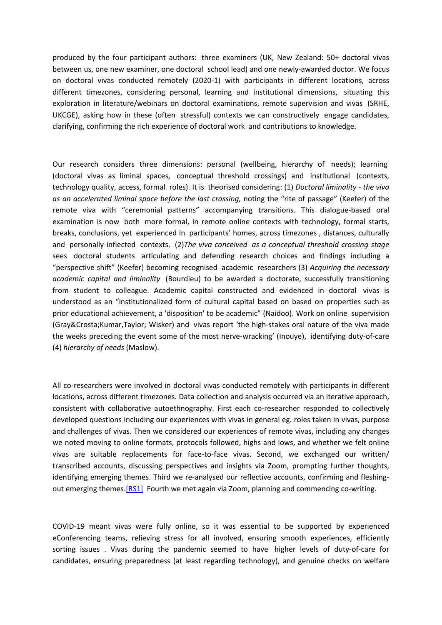produced by the four participant authors: three examiners (UK, New Zealand: 50+ doctoral vivas between us, one new examiner, one doctoral school lead) and one newly-awarded doctor. We focus on doctoral vivas conducted remotely (2020-1) with participants in different locations, across different timezones, considering personal, learning and institutional dimensions, situating this exploration in literature/webinars on doctoral examinations, remote supervision and vivas (SRHE, UKCGE), asking how in these (often stressful) contexts we can constructively engage candidates, clarifying, confirming the rich experience of doctoral work and contributions to knowledge.

Our research considers three dimensions: personal (wellbeing, hierarchy of needs); learning (doctoral vivas as liminal spaces, conceptual threshold crossings) and institutional (contexts, technology quality, access, formal roles). It is theorised considering: (1) *Doctoral liminality - the viva as an accelerated liminal space before the last crossing,* noting the "rite of passage" (Keefer) of the remote viva with "ceremonial patterns" accompanying transitions. This dialogue-based oral examination is now both more formal, in remote online contexts with technology, formal starts, breaks, conclusions, yet experienced in participants' homes, across timezones , distances, culturally and personally inflected contexts. (2)*The viva conceived as <sup>a</sup> conceptual threshold crossing stage* sees doctoral students articulating and defending research choices and findings including <sup>a</sup> "perspective shift" (Keefer) becoming recognised academic researchers (3) *Acquiring the necessary academic capital and liminality* (Bourdieu) to be awarded <sup>a</sup> doctorate, successfully transitioning from student to colleague. Academic capital constructed and evidenced in doctoral vivas is understood as an "institutionalized form of cultural capital based on based on properties such as prior educational achievement, <sup>a</sup> 'disposition' to be academic" (Naidoo). Work on online supervision (Gray&Crosta;Kumar,Taylor; Wisker) and vivas report 'the high-stakes oral nature of the viva made the weeks preceding the event some of the most nerve-wracking' (Inouye), identifying duty-of-care (4) *hierarchy of needs* (Maslow).

All co-researchers were involved in doctoral vivas conducted remotely with participants in different locations, across different timezones. Data collection and analysis occurred via an iterative approach, consistent with collaborative autoethnography. First each co-researcher responded to collectively developed questions including our experiences with vivas in general eg. roles taken in vivas, purpose and challenges of vivas. Then we considered our experiences of remote vivas, including any changes we noted moving to online formats, protocols followed, highs and lows, and whether we felt online vivas are suitable replacements for face-to-face vivas. Second, we exchanged our written/ transcribed accounts, discussing perspectives and insights via Zoom, prompting further thoughts, identifying emerging themes. Third we re-analysed our reflective accounts, confirming and fleshingout emerging themes.[RS1] Fourth we met again via Zoom, planning and commencing co-writing.

COVID-19 meant vivas were fully online, so it was essential to be supported by experienced eConferencing teams, relieving stress for all involved, ensuring smooth experiences, efficiently sorting issues . Vivas during the pandemic seemed to have higher levels of duty-of-care for candidates, ensuring preparedness (at least regarding technology), and genuine checks on welfare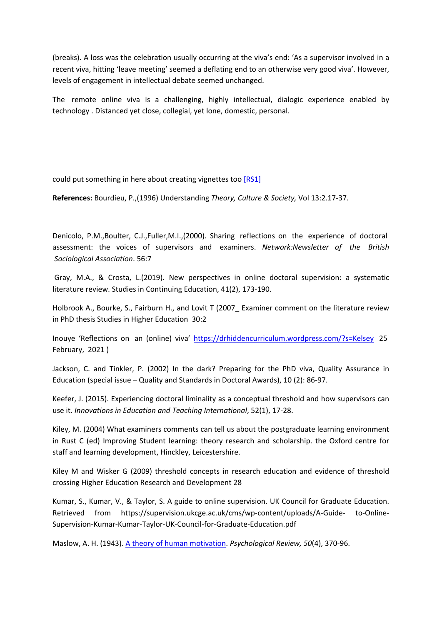(breaks). A loss was the celebration usually occurring at the viva's end: 'As <sup>a</sup> supervisor involved in <sup>a</sup> recent viva, hitting 'leave meeting' seemed a deflating end to an otherwise very good viva'. However, levels of engagement in intellectual debate seemed unchanged.

The remote online viva is <sup>a</sup> challenging, highly intellectual, dialogic experience enabled by technology . Distanced yet close, collegial, yet lone, domestic, personal.

could put something in here about creating vignettes too [RS1]

**References:** Bourdieu, P.,(1996) Understanding *Theory, Culture & Society,* Vol 13:2.17-37.

Denicolo, P.M.,Boulter, C.J.,Fuller,M.I.,(2000). Sharing reflections on the experience of doctoral assessment: the voices of supervisors and examiners. *Network:Newsletter of the British Sociological Association*. 56:7

 Gray, M.A., & Crosta, L.(2019). New perspectives in online doctoral supervision: <sup>a</sup> systematic literature review. Studies in Continuing Education, 41(2), 173-190.

Holbrook A., Bourke, S., Fairburn H., and Lovit T (2007 Examiner comment on the literature review in PhD thesis Studies in Higher Education 30:2

Inouye 'Reflections on an (online) viva' <https://drhiddencurriculum.wordpress.com/?s=Kelsey> 25 February, 2021 )

Jackson, C. and Tinkler, P. (2002) In the dark? Preparing for the PhD viva, Quality Assurance in Education (special issue – Quality and Standards in Doctoral Awards), 10 (2): 86-97.

Keefer, J. (2015). Experiencing doctoral liminality as <sup>a</sup> conceptual threshold and how supervisors can use it. *Innovations in Education and Teaching International*, 52(1), 17-28.

Kiley, M. (2004) What examiners comments can tell us about the postgraduate learning environment in Rust C (ed) Improving Student learning: theory research and scholarship. the Oxford centre for staff and learning development, Hinckley, Leicestershire.

Kiley M and Wisker G (2009) threshold concepts in research education and evidence of threshold crossing Higher Education Research and Development 28

Kumar, S., Kumar, V., & Taylor, S. A guide to online supervision. UK Council for Graduate Education. Retrieved from https://supervision.ukcge.ac.uk/cms/wp-content/uploads/A-Guide- to-Online-Supervision-Kumar-Kumar-Taylor-UK-Council-for-Graduate-Education.pdf

Maslow, A. H. (1943). A theory of human [motivation](https://psychclassics.yorku.ca/Maslow/motivation.htm). *Psychological Review, 50*(4), 370-96.